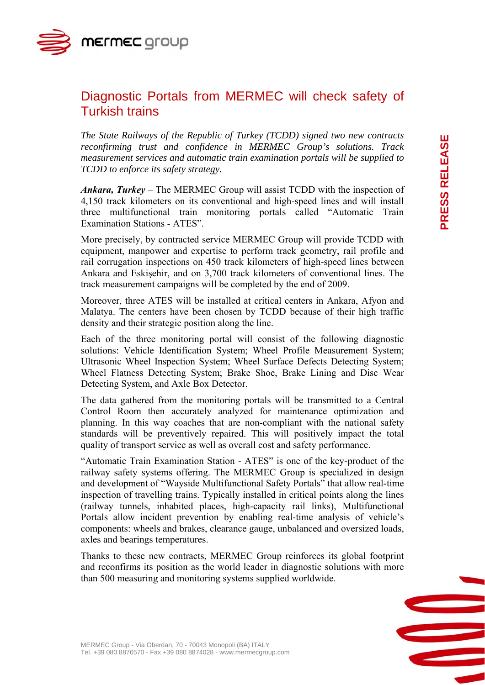mermec group

## Diagnostic Portals from MERMEC will check safety of Turkish trains

*The State Railways of the Republic of Turkey (TCDD) signed two new contracts reconfirming trust and confidence in MERMEC Group's solutions. Track measurement services and automatic train examination portals will be supplied to TCDD to enforce its safety strategy.* 

*Ankara, Turkey* – The MERMEC Group will assist TCDD with the inspection of 4,150 track kilometers on its conventional and high-speed lines and will install three multifunctional train monitoring portals called "Automatic Train Examination Stations - ATES".

More precisely, by contracted service MERMEC Group will provide TCDD with equipment, manpower and expertise to perform track geometry, rail profile and rail corrugation inspections on 450 track kilometers of high-speed lines between Ankara and Eskişehir, and on 3,700 track kilometers of conventional lines. The track measurement campaigns will be completed by the end of 2009.

Moreover, three ATES will be installed at critical centers in Ankara, Afyon and Malatya. The centers have been chosen by TCDD because of their high traffic density and their strategic position along the line.

Each of the three monitoring portal will consist of the following diagnostic solutions: Vehicle Identification System; Wheel Profile Measurement System; Ultrasonic Wheel Inspection System; Wheel Surface Defects Detecting System; Wheel Flatness Detecting System; Brake Shoe, Brake Lining and Disc Wear Detecting System, and Axle Box Detector.

The data gathered from the monitoring portals will be transmitted to a Central Control Room then accurately analyzed for maintenance optimization and planning. In this way coaches that are non-compliant with the national safety standards will be preventively repaired. This will positively impact the total quality of transport service as well as overall cost and safety performance.

"Automatic Train Examination Station - ATES" is one of the key-product of the railway safety systems offering. The MERMEC Group is specialized in design and development of "Wayside Multifunctional Safety Portals" that allow real-time inspection of travelling trains. Typically installed in critical points along the lines (railway tunnels, inhabited places, high-capacity rail links), Multifunctional Portals allow incident prevention by enabling real-time analysis of vehicle's components: wheels and brakes, clearance gauge, unbalanced and oversized loads, axles and bearings temperatures.

Thanks to these new contracts, MERMEC Group reinforces its global footprint and reconfirms its position as the world leader in diagnostic solutions with more than 500 measuring and monitoring systems supplied worldwide.